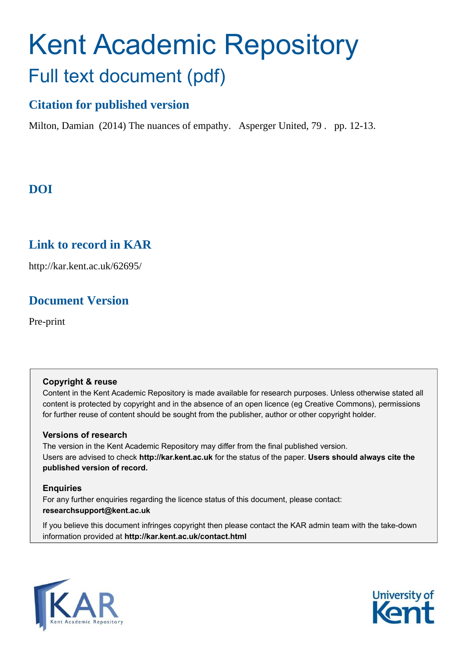# Kent Academic Repository Full text document (pdf)

## **Citation for published version**

Milton, Damian (2014) The nuances of empathy. Asperger United, 79 . pp. 12-13.

## **DOI**

### **Link to record in KAR**

http://kar.kent.ac.uk/62695/

## **Document Version**

Pre-print

#### **Copyright & reuse**

Content in the Kent Academic Repository is made available for research purposes. Unless otherwise stated all content is protected by copyright and in the absence of an open licence (eg Creative Commons), permissions for further reuse of content should be sought from the publisher, author or other copyright holder.

#### **Versions of research**

The version in the Kent Academic Repository may differ from the final published version. Users are advised to check **http://kar.kent.ac.uk** for the status of the paper. **Users should always cite the published version of record.**

#### **Enquiries**

For any further enquiries regarding the licence status of this document, please contact: **researchsupport@kent.ac.uk**

If you believe this document infringes copyright then please contact the KAR admin team with the take-down information provided at **http://kar.kent.ac.uk/contact.html**



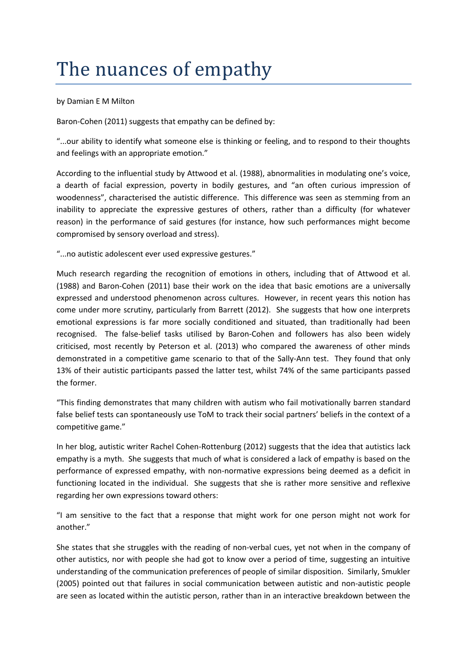## The nuances of empathy

by Damian E M Milton

Baron-Cohen (2011) suggests that empathy can be defined by:

"...our ability to identify what someone else is thinking or feeling, and to respond to their thoughts and feelings with an appropriate emotion."

According to the influential study by Attwood et al. (1988), abnormalities in modulating one's voice, a dearth of facial expression, poverty in bodily gestures, and "an often curious impression of woodenness", characterised the autistic difference. This difference was seen as stemming from an inability to appreciate the expressive gestures of others, rather than a difficulty (for whatever reason) in the performance of said gestures (for instance, how such performances might become compromised by sensory overload and stress).

"...no autistic adolescent ever used expressive gestures."

Much research regarding the recognition of emotions in others, including that of Attwood et al. (1988) and Baron-Cohen (2011) base their work on the idea that basic emotions are a universally expressed and understood phenomenon across cultures. However, in recent years this notion has come under more scrutiny, particularly from Barrett (2012). She suggests that how one interprets emotional expressions is far more socially conditioned and situated, than traditionally had been recognised. The false-belief tasks utilised by Baron-Cohen and followers has also been widely criticised, most recently by Peterson et al. (2013) who compared the awareness of other minds demonstrated in a competitive game scenario to that of the Sally-Ann test. They found that only 13% of their autistic participants passed the latter test, whilst 74% of the same participants passed the former.

"This finding demonstrates that many children with autism who fail motivationally barren standard false belief tests can spontaneously use ToM to track their social partners' beliefs in the context of a competitive game."

In her blog, autistic writer Rachel Cohen-Rottenburg (2012) suggests that the idea that autistics lack empathy is a myth. She suggests that much of what is considered a lack of empathy is based on the performance of expressed empathy, with non-normative expressions being deemed as a deficit in functioning located in the individual. She suggests that she is rather more sensitive and reflexive regarding her own expressions toward others:

"I am sensitive to the fact that a response that might work for one person might not work for another."

She states that she struggles with the reading of non-verbal cues, yet not when in the company of other autistics, nor with people she had got to know over a period of time, suggesting an intuitive understanding of the communication preferences of people of similar disposition. Similarly, Smukler (2005) pointed out that failures in social communication between autistic and non-autistic people are seen as located within the autistic person, rather than in an interactive breakdown between the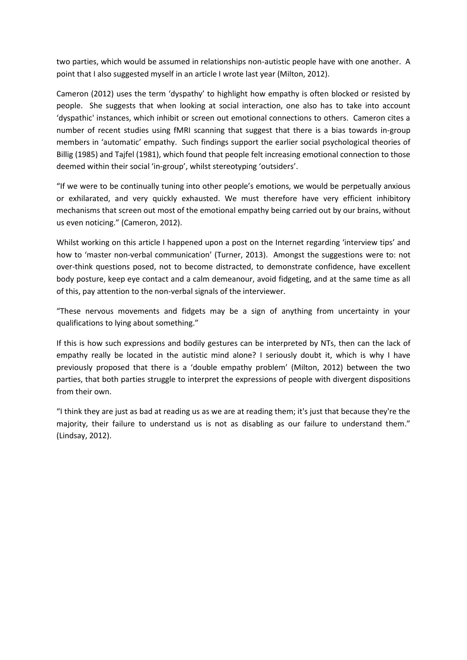two parties, which would be assumed in relationships non-autistic people have with one another. A point that I also suggested myself in an article I wrote last year (Milton, 2012).

Cameron (2012) uses the term 'dyspathy' to highlight how empathy is often blocked or resisted by people. She suggests that when looking at social interaction, one also has to take into account 'dyspathic' instances, which inhibit or screen out emotional connections to others. Cameron cites a number of recent studies using fMRI scanning that suggest that there is a bias towards in-group members in 'automatic' empathy. Such findings support the earlier social psychological theories of Billig (1985) and Tajfel (1981), which found that people felt increasing emotional connection to those deemed within their social 'in-group', whilst stereotyping 'outsiders'.

"If we were to be continually tuning into other people's emotions, we would be perpetually anxious or exhilarated, and very quickly exhausted. We must therefore have very efficient inhibitory mechanisms that screen out most of the emotional empathy being carried out by our brains, without us even noticing." (Cameron, 2012).

Whilst working on this article I happened upon a post on the Internet regarding 'interview tips' and how to 'master non-verbal communication' (Turner, 2013). Amongst the suggestions were to: not over-think questions posed, not to become distracted, to demonstrate confidence, have excellent body posture, keep eye contact and a calm demeanour, avoid fidgeting, and at the same time as all of this, pay attention to the non-verbal signals of the interviewer.

"These nervous movements and fidgets may be a sign of anything from uncertainty in your qualifications to lying about something."

If this is how such expressions and bodily gestures can be interpreted by NTs, then can the lack of empathy really be located in the autistic mind alone? I seriously doubt it, which is why I have previously proposed that there is a 'double empathy problem' (Milton, 2012) between the two parties, that both parties struggle to interpret the expressions of people with divergent dispositions from their own.

"I think they are just as bad at reading us as we are at reading them; it's just that because they're the majority, their failure to understand us is not as disabling as our failure to understand them." (Lindsay, 2012).